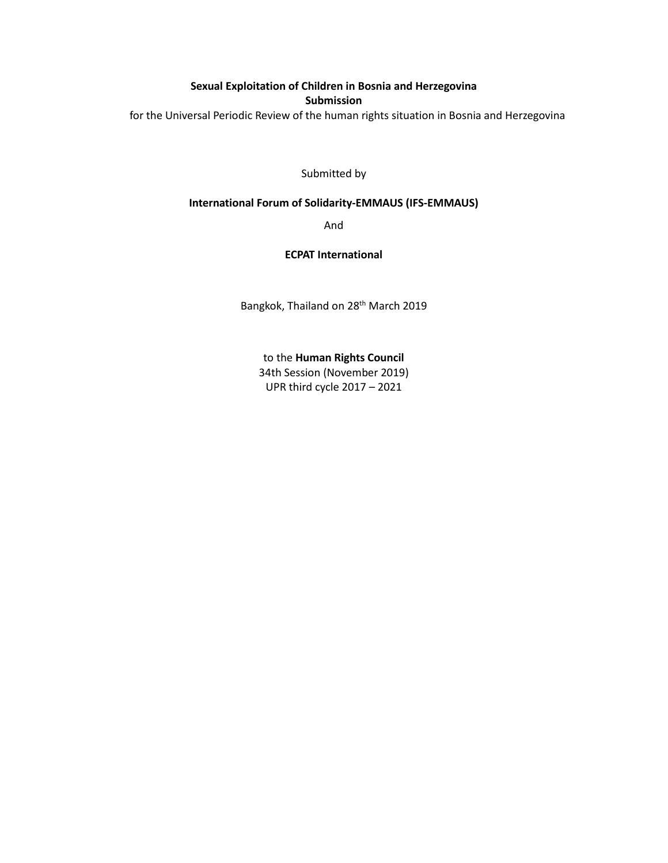**Sexual Exploitation of Children in Bosnia and Herzegovina Submission** for the Universal Periodic Review of the human rights situation in Bosnia and Herzegovina

Submitted by

### **International Forum of Solidarity-EMMAUS (IFS-EMMAUS)**

And

#### **ECPAT International**

Bangkok, Thailand on 28<sup>th</sup> March 2019

to the **Human Rights Council** 34th Session (November 2019) UPR third cycle 2017 – 2021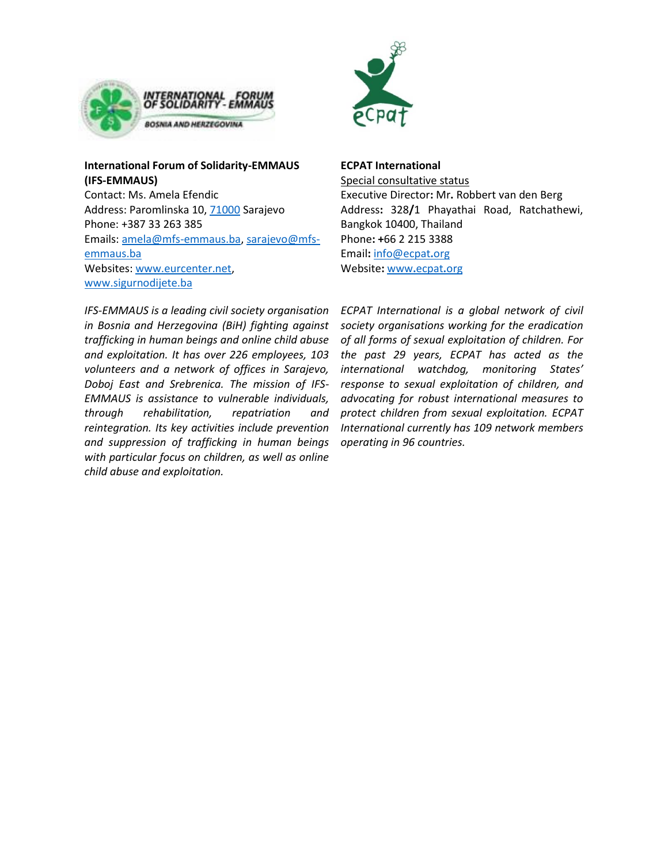

# **International Forum of Solidarity-EMMAUS (IFS-EMMAUS)**

Contact: Ms. Amela Efendic Address: Paromlinska 10, [71000](tel:71000) Sarajevo Phone: +387 33 263 385 Emails[: amela@mfs-emmaus.ba,](mailto:amela@mfs-emmaus.ba) [sarajevo@mfs](mailto:sarajevo@mfs-emmaus.ba)[emmaus.ba](mailto:sarajevo@mfs-emmaus.ba) Websites: [www.eurcenter.net,](http://www.eurcenter.net/) [www.sigurnodijete.ba](http://www.sigurnodijete.ba/)



**ECPAT International** 

Special consultative status Executive Director**:** Mr**.** Robbert van den Berg Address**:** 328**/**1 Phayathai Road, Ratchathewi, Bangkok 10400, Thailand Phone**: +**66 2 215 3388 Email**:** [info@ecpat](mailto:info@ecpat.org)**.**org Website**:** www**.**[ecpat](http://www.ecpat.org/)**.**org

*IFS-EMMAUS is a leading civil society organisation in Bosnia and Herzegovina (BiH) fighting against trafficking in human beings and online child abuse and exploitation. It has over 226 employees, 103 volunteers and a network of offices in Sarajevo, Doboj East and Srebrenica. The mission of IFS-EMMAUS is assistance to vulnerable individuals, through rehabilitation, repatriation and reintegration. Its key activities include prevention and suppression of trafficking in human beings with particular focus on children, as well as online child abuse and exploitation.* 

*ECPAT International is a global network of civil society organisations working for the eradication of all forms of sexual exploitation of children. For the past 29 years, ECPAT has acted as the international watchdog, monitoring States' response to sexual exploitation of children, and advocating for robust international measures to protect children from sexual exploitation. ECPAT International currently has 109 network members operating in 96 countries.*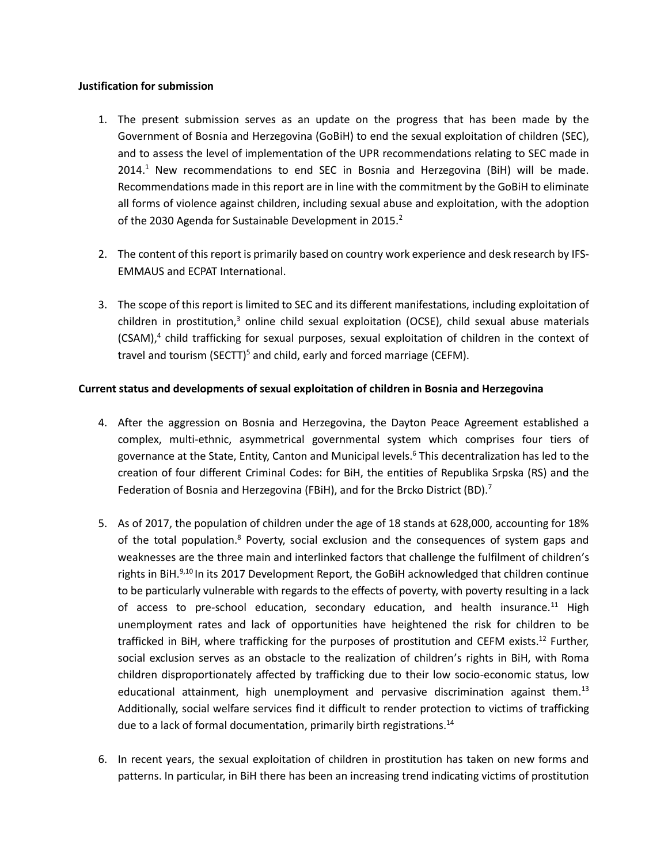### **Justification for submission**

- 1. The present submission serves as an update on the progress that has been made by the Government of Bosnia and Herzegovina (GoBiH) to end the sexual exploitation of children (SEC), and to assess the level of implementation of the UPR recommendations relating to SEC made in  $2014<sup>1</sup>$  New recommendations to end SEC in Bosnia and Herzegovina (BiH) will be made. Recommendations made in this report are in line with the commitment by the GoBiH to eliminate all forms of violence against children, including sexual abuse and exploitation, with the adoption of the 2030 Agenda for Sustainable Development in 2015.<sup>2</sup>
- 2. The content of this report is primarily based on country work experience and desk research by IFS-EMMAUS and ECPAT International.
- 3. The scope of this report is limited to SEC and its different manifestations, including exploitation of children in prostitution, $3$  online child sexual exploitation (OCSE), child sexual abuse materials (CSAM),<sup>4</sup> child trafficking for sexual purposes, sexual exploitation of children in the context of travel and tourism (SECTT)<sup>5</sup> and child, early and forced marriage (CEFM).

## **Current status and developments of sexual exploitation of children in Bosnia and Herzegovina**

- 4. After the aggression on Bosnia and Herzegovina, the Dayton Peace Agreement established a complex, multi-ethnic, asymmetrical governmental system which comprises four tiers of governance at the State, Entity, Canton and Municipal levels.<sup>6</sup> This decentralization has led to the creation of four different Criminal Codes: for BiH, the entities of Republika Srpska (RS) and the Federation of Bosnia and Herzegovina (FBiH), and for the Brcko District (BD).<sup>7</sup>
- 5. As of 2017, the population of children under the age of 18 stands at 628,000, accounting for 18% of the total population.<sup>8</sup> Poverty, social exclusion and the consequences of system gaps and weaknesses are the three main and interlinked factors that challenge the fulfilment of children's rights in BiH.<sup>9,10</sup> In its 2017 Development Report, the GoBiH acknowledged that children continue to be particularly vulnerable with regards to the effects of poverty, with poverty resulting in a lack of access to pre-school education, secondary education, and health insurance.<sup>11</sup> High unemployment rates and lack of opportunities have heightened the risk for children to be trafficked in BiH, where trafficking for the purposes of prostitution and CEFM exists. <sup>12</sup> Further, social exclusion serves as an obstacle to the realization of children's rights in BiH, with Roma children disproportionately affected by trafficking due to their low socio-economic status, low educational attainment, high unemployment and pervasive discrimination against them.<sup>13</sup> Additionally, social welfare services find it difficult to render protection to victims of trafficking due to a lack of formal documentation, primarily birth registrations.<sup>14</sup>
- 6. In recent years, the sexual exploitation of children in prostitution has taken on new forms and patterns. In particular, in BiH there has been an increasing trend indicating victims of prostitution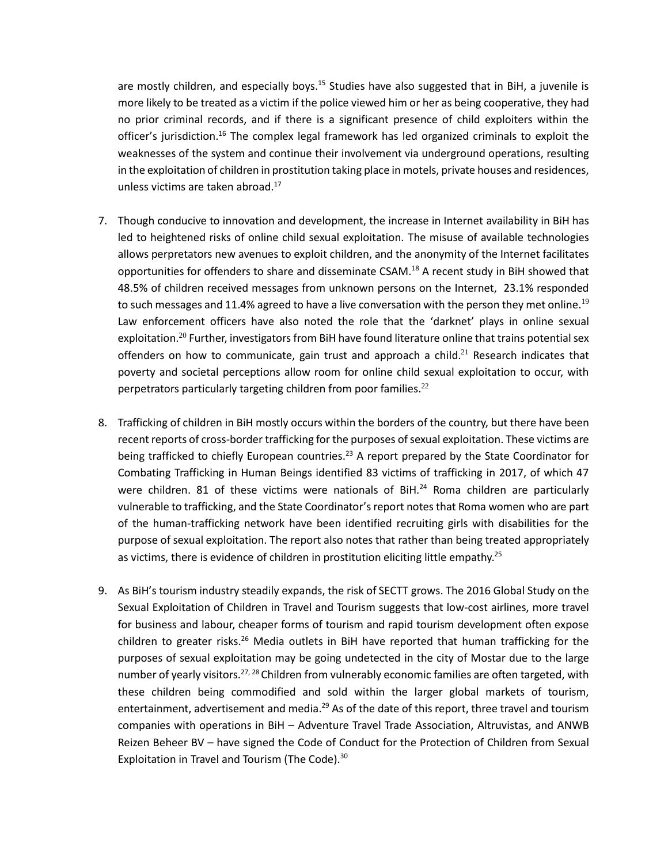are mostly children, and especially boys.<sup>15</sup> Studies have also suggested that in BiH, a juvenile is more likely to be treated as a victim if the police viewed him or her as being cooperative, they had no prior criminal records, and if there is a significant presence of child exploiters within the officer's jurisdiction.<sup>16</sup> The complex legal framework has led organized criminals to exploit the weaknesses of the system and continue their involvement via underground operations, resulting in the exploitation of children in prostitution taking place in motels, private houses and residences, unless victims are taken abroad.<sup>17</sup>

- 7. Though conducive to innovation and development, the increase in Internet availability in BiH has led to heightened risks of online child sexual exploitation. The misuse of available technologies allows perpretators new avenues to exploit children, and the anonymity of the Internet facilitates opportunities for offenders to share and disseminate CSAM.<sup>18</sup> A recent study in BiH showed that 48.5% of children received messages from unknown persons on the Internet, 23.1% responded to such messages and 11.4% agreed to have a live conversation with the person they met online.<sup>19</sup> Law enforcement officers have also noted the role that the 'darknet' plays in online sexual exploitation.<sup>20</sup> Further, investigators from BiH have found literature online that trains potential sex offenders on how to communicate, gain trust and approach a child. $^{21}$  Research indicates that poverty and societal perceptions allow room for online child sexual exploitation to occur, with perpetrators particularly targeting children from poor families. $^{22}$
- 8. Trafficking of children in BiH mostly occurs within the borders of the country, but there have been recent reports of cross-border trafficking for the purposes of sexual exploitation. These victims are being trafficked to chiefly European countries.<sup>23</sup> A report prepared by the State Coordinator for Combating Trafficking in Human Beings identified 83 victims of trafficking in 2017, of which 47 were children. 81 of these victims were nationals of BiH.<sup>24</sup> Roma children are particularly vulnerable to trafficking, and the State Coordinator's report notes that Roma women who are part of the human-trafficking network have been identified recruiting girls with disabilities for the purpose of sexual exploitation. The report also notes that rather than being treated appropriately as victims, there is evidence of children in prostitution eliciting little empathy.<sup>25</sup>
- 9. As BiH's tourism industry steadily expands, the risk of SECTT grows. The 2016 Global Study on the Sexual Exploitation of Children in Travel and Tourism suggests that low-cost airlines, more travel for business and labour, cheaper forms of tourism and rapid tourism development often expose children to greater risks.<sup>26</sup> Media outlets in BiH have reported that human trafficking for the purposes of sexual exploitation may be going undetected in the city of Mostar due to the large number of yearly visitors.<sup>27, 28</sup> Children from vulnerably economic families are often targeted, with these children being commodified and sold within the larger global markets of tourism, entertainment, advertisement and media.<sup>29</sup> As of the date of this report, three travel and tourism companies with operations in BiH – Adventure Travel Trade Association, Altruvistas, and ANWB Reizen Beheer BV – have signed the Code of Conduct for the Protection of Children from Sexual Exploitation in Travel and Tourism (The Code).<sup>30</sup>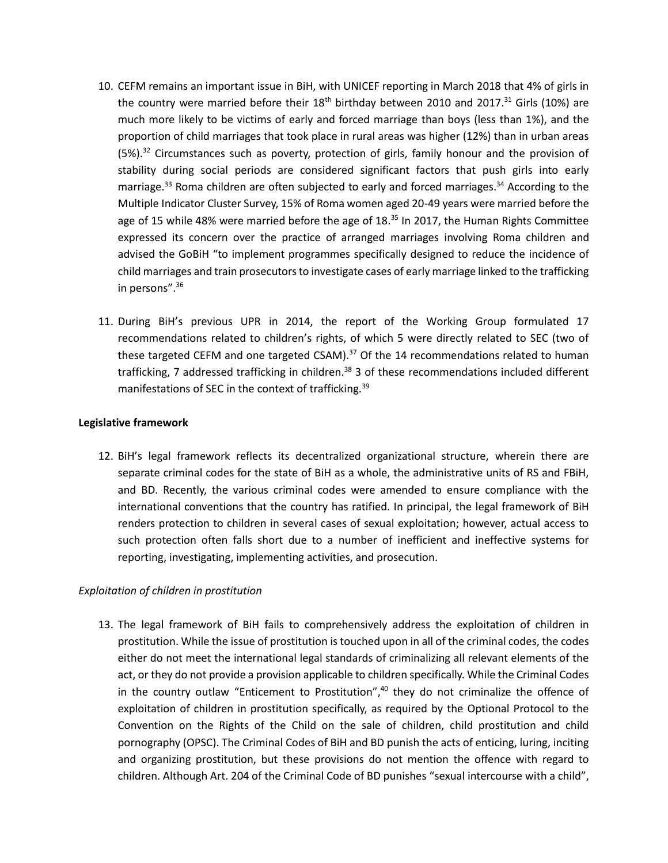- 10. CEFM remains an important issue in BiH, with UNICEF reporting in March 2018 that 4% of girls in the country were married before their  $18<sup>th</sup>$  birthday between 2010 and 2017.<sup>31</sup> Girls (10%) are much more likely to be victims of early and forced marriage than boys (less than 1%), and the proportion of child marriages that took place in rural areas was higher (12%) than in urban areas (5%).<sup>32</sup> Circumstances such as poverty, protection of girls, family honour and the provision of stability during social periods are considered significant factors that push girls into early marriage.<sup>33</sup> Roma children are often subjected to early and forced marriages.<sup>34</sup> According to the Multiple Indicator Cluster Survey, 15% of Roma women aged 20-49 years were married before the age of 15 while 48% were married before the age of 18. $35$  In 2017, the Human Rights Committee expressed its concern over the practice of arranged marriages involving Roma children and advised the GoBiH "to implement programmes specifically designed to reduce the incidence of child marriages and train prosecutors to investigate cases of early marriage linked to the trafficking in persons". 36
- 11. During BiH's previous UPR in 2014, the report of the Working Group formulated 17 recommendations related to children's rights, of which 5 were directly related to SEC (two of these targeted CEFM and one targeted CSAM).<sup>37</sup> Of the 14 recommendations related to human trafficking, 7 addressed trafficking in children.<sup>38</sup> 3 of these recommendations included different manifestations of SEC in the context of trafficking.<sup>39</sup>

### **Legislative framework**

12. BiH's legal framework reflects its decentralized organizational structure, wherein there are separate criminal codes for the state of BiH as a whole, the administrative units of RS and FBiH, and BD. Recently, the various criminal codes were amended to ensure compliance with the international conventions that the country has ratified. In principal, the legal framework of BiH renders protection to children in several cases of sexual exploitation; however, actual access to such protection often falls short due to a number of inefficient and ineffective systems for reporting, investigating, implementing activities, and prosecution.

## *Exploitation of children in prostitution*

13. The legal framework of BiH fails to comprehensively address the exploitation of children in prostitution. While the issue of prostitution is touched upon in all of the criminal codes, the codes either do not meet the international legal standards of criminalizing all relevant elements of the act, or they do not provide a provision applicable to children specifically. While the Criminal Codes in the country outlaw "Enticement to Prostitution",<sup>40</sup> they do not criminalize the offence of exploitation of children in prostitution specifically, as required by the Optional Protocol to the Convention on the Rights of the Child on the sale of children, child prostitution and child pornography (OPSC). The Criminal Codes of BiH and BD punish the acts of enticing, luring, inciting and organizing prostitution, but these provisions do not mention the offence with regard to children. Although Art. 204 of the Criminal Code of BD punishes "sexual intercourse with a child",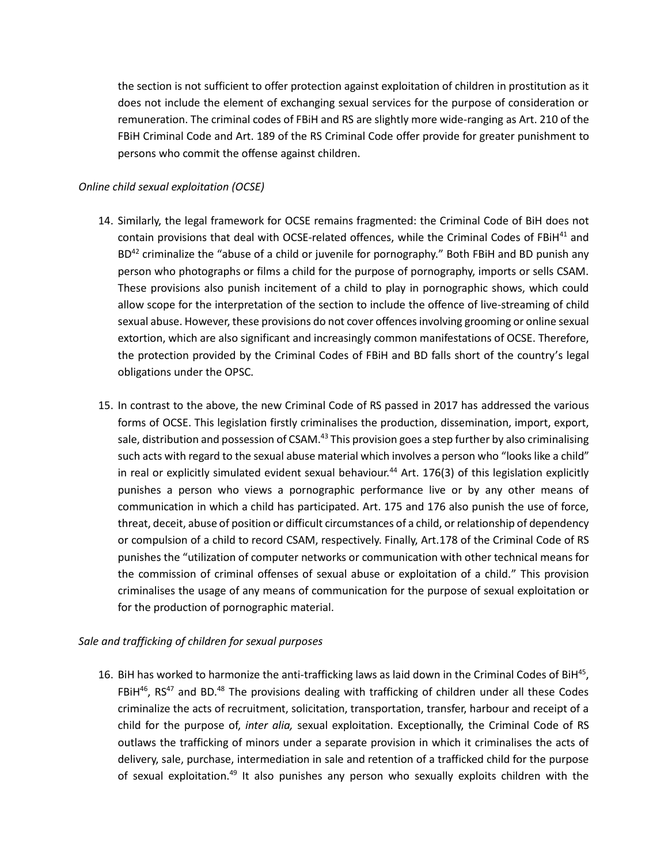the section is not sufficient to offer protection against exploitation of children in prostitution as it does not include the element of exchanging sexual services for the purpose of consideration or remuneration. The criminal codes of FBiH and RS are slightly more wide-ranging as Art. 210 of the FBiH Criminal Code and Art. 189 of the RS Criminal Code offer provide for greater punishment to persons who commit the offense against children.

## *Online child sexual exploitation (OCSE)*

- 14. Similarly, the legal framework for OCSE remains fragmented: the Criminal Code of BiH does not contain provisions that deal with OCSE-related offences, while the Criminal Codes of FBiH<sup>41</sup> and BD<sup>42</sup> criminalize the "abuse of a child or juvenile for pornography." Both FBiH and BD punish any person who photographs or films a child for the purpose of pornography, imports or sells CSAM. These provisions also punish incitement of a child to play in pornographic shows, which could allow scope for the interpretation of the section to include the offence of live-streaming of child sexual abuse. However, these provisions do not cover offences involving grooming or online sexual extortion, which are also significant and increasingly common manifestations of OCSE. Therefore, the protection provided by the Criminal Codes of FBiH and BD falls short of the country's legal obligations under the OPSC.
- 15. In contrast to the above, the new Criminal Code of RS passed in 2017 has addressed the various forms of OCSE. This legislation firstly criminalises the production, dissemination, import, export, sale, distribution and possession of CSAM.<sup>43</sup> This provision goes a step further by also criminalising such acts with regard to the sexual abuse material which involves a person who "looks like a child" in real or explicitly simulated evident sexual behaviour.<sup>44</sup> Art. 176(3) of this legislation explicitly punishes a person who views a pornographic performance live or by any other means of communication in which a child has participated. Art. 175 and 176 also punish the use of force, threat, deceit, abuse of position or difficult circumstances of a child, or relationship of dependency or compulsion of a child to record CSAM, respectively. Finally, Art.178 of the Criminal Code of RS punishes the "utilization of computer networks or communication with other technical means for the commission of criminal offenses of sexual abuse or exploitation of a child." This provision criminalises the usage of any means of communication for the purpose of sexual exploitation or for the production of pornographic material.

## *Sale and trafficking of children for sexual purposes*

16. BiH has worked to harmonize the anti-trafficking laws as laid down in the Criminal Codes of BiH<sup>45</sup>, FBiH $^{46}$ , RS<sup>47</sup> and BD.<sup>48</sup> The provisions dealing with trafficking of children under all these Codes criminalize the acts of recruitment, solicitation, transportation, transfer, harbour and receipt of a child for the purpose of, *inter alia,* sexual exploitation. Exceptionally, the Criminal Code of RS outlaws the trafficking of minors under a separate provision in which it criminalises the acts of delivery, sale, purchase, intermediation in sale and retention of a trafficked child for the purpose of sexual exploitation.<sup>49</sup> It also punishes any person who sexually exploits children with the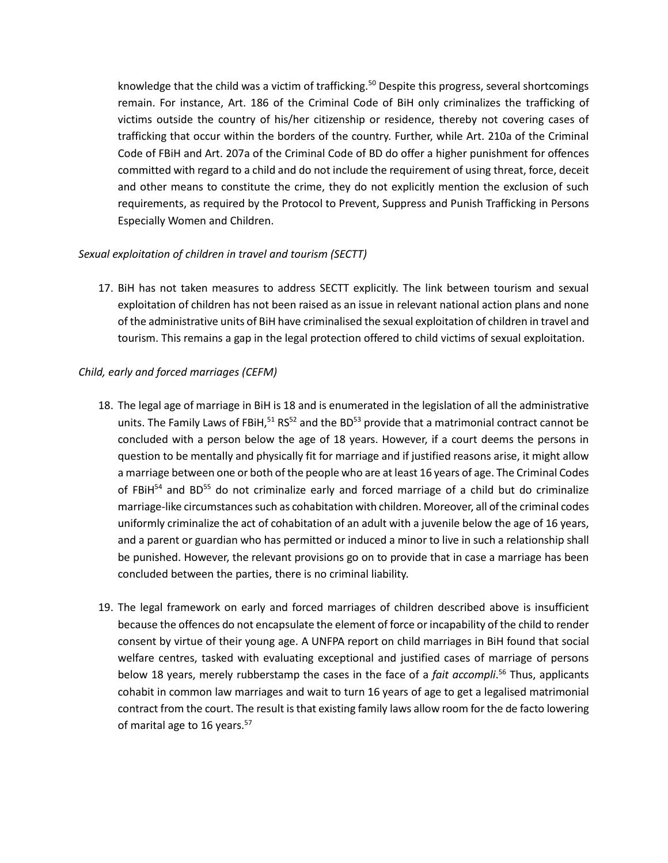knowledge that the child was a victim of trafficking.<sup>50</sup> Despite this progress, several shortcomings remain. For instance, Art. 186 of the Criminal Code of BiH only criminalizes the trafficking of victims outside the country of his/her citizenship or residence, thereby not covering cases of trafficking that occur within the borders of the country. Further, while Art. 210a of the Criminal Code of FBiH and Art. 207a of the Criminal Code of BD do offer a higher punishment for offences committed with regard to a child and do not include the requirement of using threat, force, deceit and other means to constitute the crime, they do not explicitly mention the exclusion of such requirements, as required by the Protocol to Prevent, Suppress and Punish Trafficking in Persons Especially Women and Children.

## *Sexual exploitation of children in travel and tourism (SECTT)*

17. BiH has not taken measures to address SECTT explicitly. The link between tourism and sexual exploitation of children has not been raised as an issue in relevant national action plans and none of the administrative units of BiH have criminalised the sexual exploitation of children in travel and tourism. This remains a gap in the legal protection offered to child victims of sexual exploitation.

# *Child, early and forced marriages (CEFM)*

- 18. The legal age of marriage in BiH is 18 and is enumerated in the legislation of all the administrative units. The Family Laws of FBiH,  $51$  RS $52$  and the BD $53$  provide that a matrimonial contract cannot be concluded with a person below the age of 18 years. However, if a court deems the persons in question to be mentally and physically fit for marriage and if justified reasons arise, it might allow a marriage between one or both of the people who are at least 16 years of age. The Criminal Codes of FBiH<sup>54</sup> and BD<sup>55</sup> do not criminalize early and forced marriage of a child but do criminalize marriage-like circumstances such as cohabitation with children. Moreover, all of the criminal codes uniformly criminalize the act of cohabitation of an adult with a juvenile below the age of 16 years, and a parent or guardian who has permitted or induced a minor to live in such a relationship shall be punished. However, the relevant provisions go on to provide that in case a marriage has been concluded between the parties, there is no criminal liability.
- 19. The legal framework on early and forced marriages of children described above is insufficient because the offences do not encapsulate the element of force or incapability of the child to render consent by virtue of their young age. A UNFPA report on child marriages in BiH found that social welfare centres, tasked with evaluating exceptional and justified cases of marriage of persons below 18 years, merely rubberstamp the cases in the face of a *fait accompli*. <sup>56</sup> Thus, applicants cohabit in common law marriages and wait to turn 16 years of age to get a legalised matrimonial contract from the court. The result is that existing family laws allow room for the de facto lowering of marital age to 16 years.<sup>57</sup>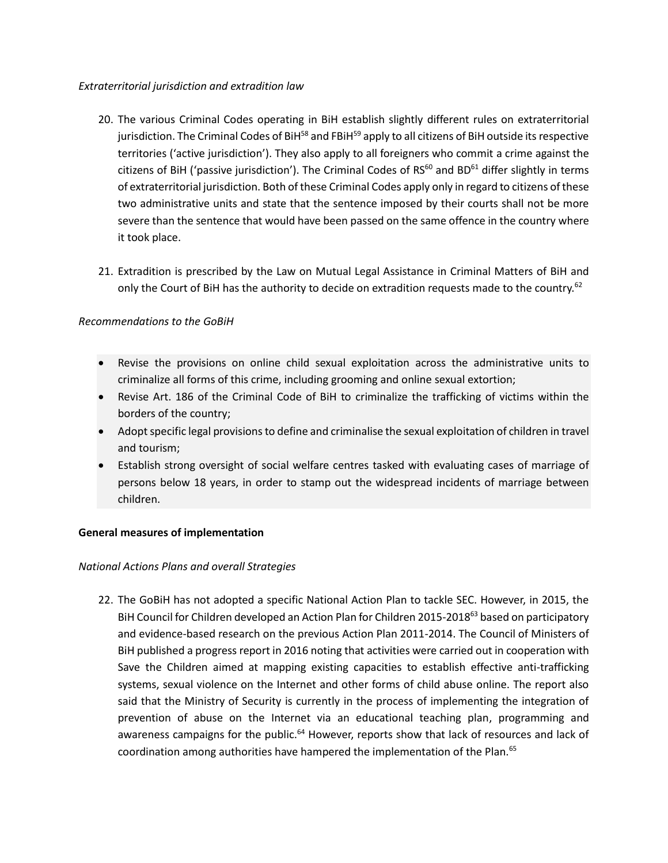## *Extraterritorial jurisdiction and extradition law*

- 20. The various Criminal Codes operating in BiH establish slightly different rules on extraterritorial jurisdiction. The Criminal Codes of BiH<sup>58</sup> and FBiH<sup>59</sup> apply to all citizens of BiH outside its respective territories ('active jurisdiction'). They also apply to all foreigners who commit a crime against the citizens of BiH ('passive jurisdiction'). The Criminal Codes of  $RS^{60}$  and BD<sup>61</sup> differ slightly in terms of extraterritorial jurisdiction. Both of these Criminal Codes apply only in regard to citizens of these two administrative units and state that the sentence imposed by their courts shall not be more severe than the sentence that would have been passed on the same offence in the country where it took place.
- 21. Extradition is prescribed by the Law on Mutual Legal Assistance in Criminal Matters of BiH and only the Court of BiH has the authority to decide on extradition requests made to the country.<sup>62</sup>

# *Recommendations to the GoBiH*

- Revise the provisions on online child sexual exploitation across the administrative units to criminalize all forms of this crime, including grooming and online sexual extortion;
- Revise Art. 186 of the Criminal Code of BiH to criminalize the trafficking of victims within the borders of the country;
- Adopt specific legal provisions to define and criminalise the sexual exploitation of children in travel and tourism;
- Establish strong oversight of social welfare centres tasked with evaluating cases of marriage of persons below 18 years, in order to stamp out the widespread incidents of marriage between children.

# **General measures of implementation**

# *National Actions Plans and overall Strategies*

22. The GoBiH has not adopted a specific National Action Plan to tackle SEC. However, in 2015, the BiH Council for Children developed an Action Plan for Children 2015-2018<sup>63</sup> based on participatory and evidence-based research on the previous Action Plan 2011-2014. The Council of Ministers of BiH published a progress report in 2016 noting that activities were carried out in cooperation with Save the Children aimed at mapping existing capacities to establish effective anti-trafficking systems, sexual violence on the Internet and other forms of child abuse online. The report also said that the Ministry of Security is currently in the process of implementing the integration of prevention of abuse on the Internet via an educational teaching plan, programming and awareness campaigns for the public.<sup>64</sup> However, reports show that lack of resources and lack of coordination among authorities have hampered the implementation of the Plan.<sup>65</sup>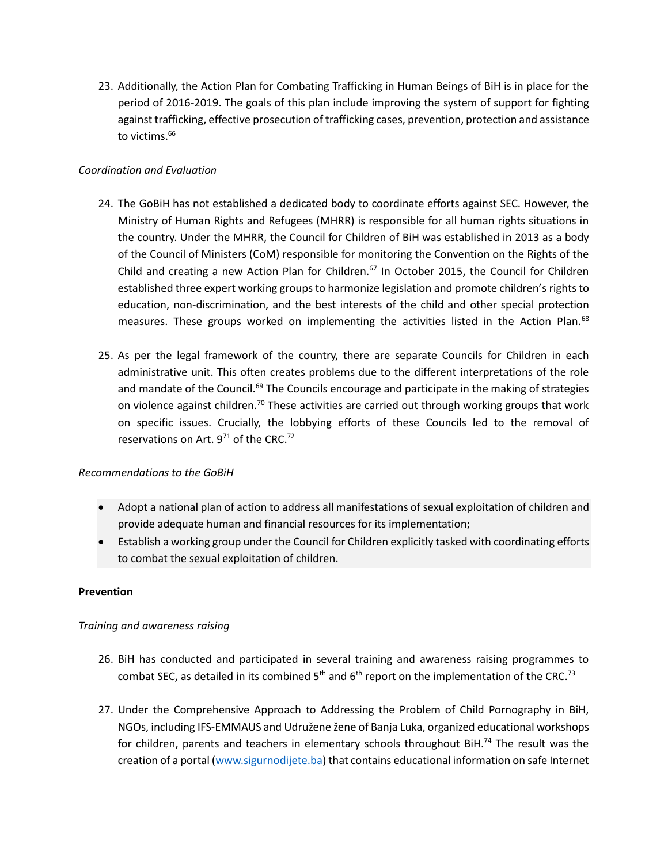23. Additionally, the Action Plan for Combating Trafficking in Human Beings of BiH is in place for the period of 2016-2019. The goals of this plan include improving the system of support for fighting against trafficking, effective prosecution of trafficking cases, prevention, protection and assistance to victims.<sup>66</sup>

## *Coordination and Evaluation*

- 24. The GoBiH has not established a dedicated body to coordinate efforts against SEC. However, the Ministry of Human Rights and Refugees (MHRR) is responsible for all human rights situations in the country. Under the MHRR, the Council for Children of BiH was established in 2013 as a body of the Council of Ministers (CoM) responsible for monitoring the Convention on the Rights of the Child and creating a new Action Plan for Children.<sup>67</sup> In October 2015, the Council for Children established three expert working groups to harmonize legislation and promote children's rights to education, non-discrimination, and the best interests of the child and other special protection measures. These groups worked on implementing the activities listed in the Action Plan.<sup>68</sup>
- 25. As per the legal framework of the country, there are separate Councils for Children in each administrative unit. This often creates problems due to the different interpretations of the role and mandate of the Council.<sup>69</sup> The Councils encourage and participate in the making of strategies on violence against children.<sup>70</sup> These activities are carried out through working groups that work on specific issues. Crucially, the lobbying efforts of these Councils led to the removal of reservations on Art.  $9^{71}$  of the CRC.<sup>72</sup>

## *Recommendations to the GoBiH*

- Adopt a national plan of action to address all manifestations of sexual exploitation of children and provide adequate human and financial resources for its implementation;
- Establish a working group under the Council for Children explicitly tasked with coordinating efforts to combat the sexual exploitation of children.

## **Prevention**

## *Training and awareness raising*

- 26. BiH has conducted and participated in several training and awareness raising programmes to combat SEC, as detailed in its combined  $5<sup>th</sup>$  and  $6<sup>th</sup>$  report on the implementation of the CRC.<sup>73</sup>
- 27. Under the Comprehensive Approach to Addressing the Problem of Child Pornography in BiH, NGOs, including IFS-EMMAUS and Udružene žene of Banja Luka, organized educational workshops for children, parents and teachers in elementary schools throughout BiH.<sup>74</sup> The result was the creation of a portal [\(www.sigurnodijete.ba\)](http://www.sigurnodijete.ba/) that contains educational information on safe Internet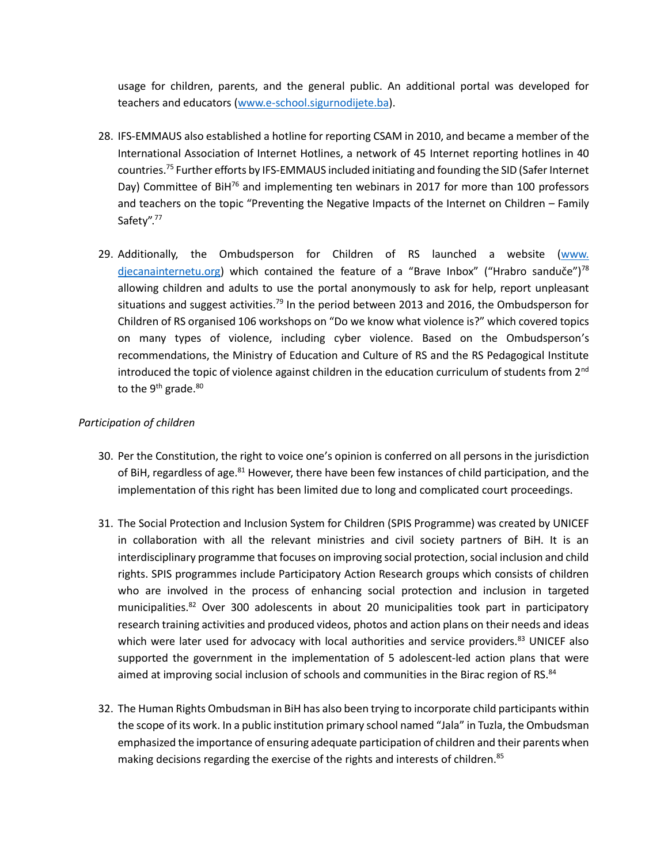usage for children, parents, and the general public. An additional portal was developed for teachers and educators [\(www.e-school.sigurnodijete.ba\)](http://www.e-school.sigurnodijete.ba/).

- 28. IFS-EMMAUS also established a hotline for reporting CSAM in 2010, and became a member of the International Association of Internet Hotlines, a network of 45 Internet reporting hotlines in 40 countries.<sup>75</sup> Further efforts by IFS-EMMAUS included initiating and founding the SID (Safer Internet Day) Committee of BiH<sup>76</sup> and implementing ten webinars in 2017 for more than 100 professors and teachers on the topic "Preventing the Negative Impacts of the Internet on Children – Family Safety".<sup>77</sup>
- 29. Additionally, the Ombudsperson for Children of RS launched a website [\(www.](http://www.djecanainternetu.org/)  [djecanainternetu.org\)](http://www.djecanainternetu.org/) which contained the feature of a "Brave Inbox" ("Hrabro sanduče")<sup>78</sup> allowing children and adults to use the portal anonymously to ask for help, report unpleasant situations and suggest activities.<sup>79</sup> In the period between 2013 and 2016, the Ombudsperson for Children of RS organised 106 workshops on "Do we know what violence is?" which covered topics on many types of violence, including cyber violence. Based on the Ombudsperson's recommendations, the Ministry of Education and Culture of RS and the RS Pedagogical Institute introduced the topic of violence against children in the education curriculum of students from 2<sup>nd</sup> to the  $9<sup>th</sup>$  grade.<sup>80</sup>

## *Participation of children*

- 30. Per the Constitution, the right to voice one's opinion is conferred on all persons in the jurisdiction of BiH, regardless of age.<sup>81</sup> However, there have been few instances of child participation, and the implementation of this right has been limited due to long and complicated court proceedings.
- 31. The Social Protection and Inclusion System for Children (SPIS Programme) was created by UNICEF in collaboration with all the relevant ministries and civil society partners of BiH. It is an interdisciplinary programme that focuses on improving social protection, social inclusion and child rights. SPIS programmes include Participatory Action Research groups which consists of children who are involved in the process of enhancing social protection and inclusion in targeted municipalities.<sup>82</sup> Over 300 adolescents in about 20 municipalities took part in participatory research training activities and produced videos, photos and action plans on their needs and ideas which were later used for advocacy with local authorities and service providers.<sup>83</sup> UNICEF also supported the government in the implementation of 5 adolescent-led action plans that were aimed at improving social inclusion of schools and communities in the Birac region of RS.<sup>84</sup>
- 32. The Human Rights Ombudsman in BiH has also been trying to incorporate child participants within the scope of its work. In a public institution primary school named "Jala" in Tuzla, the Ombudsman emphasized the importance of ensuring adequate participation of children and their parents when making decisions regarding the exercise of the rights and interests of children.<sup>85</sup>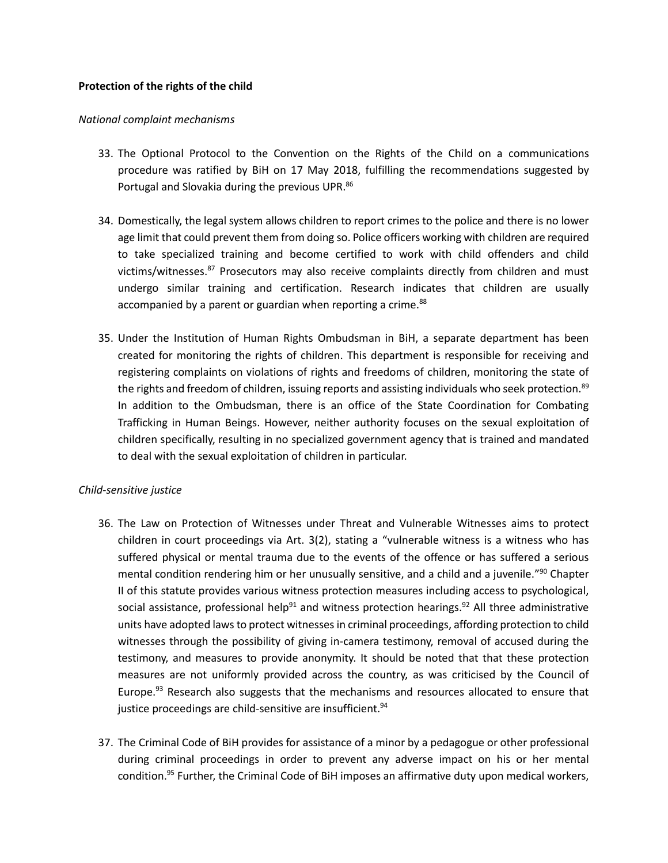### **Protection of the rights of the child**

#### *National complaint mechanisms*

- 33. The Optional Protocol to the Convention on the Rights of the Child on a communications procedure was ratified by BiH on 17 May 2018, fulfilling the recommendations suggested by Portugal and Slovakia during the previous UPR.<sup>86</sup>
- 34. Domestically, the legal system allows children to report crimes to the police and there is no lower age limit that could prevent them from doing so. Police officers working with children are required to take specialized training and become certified to work with child offenders and child victims/witnesses.<sup>87</sup> Prosecutors may also receive complaints directly from children and must undergo similar training and certification. Research indicates that children are usually accompanied by a parent or guardian when reporting a crime.<sup>88</sup>
- 35. Under the Institution of Human Rights Ombudsman in BiH, a separate department has been created for monitoring the rights of children. This department is responsible for receiving and registering complaints on violations of rights and freedoms of children, monitoring the state of the rights and freedom of children, issuing reports and assisting individuals who seek protection.<sup>89</sup> In addition to the Ombudsman, there is an office of the State Coordination for Combating Trafficking in Human Beings. However, neither authority focuses on the sexual exploitation of children specifically, resulting in no specialized government agency that is trained and mandated to deal with the sexual exploitation of children in particular.

## *Child-sensitive justice*

- 36. The Law on Protection of Witnesses under Threat and Vulnerable Witnesses aims to protect children in court proceedings via Art. 3(2), stating a "vulnerable witness is a witness who has suffered physical or mental trauma due to the events of the offence or has suffered a serious mental condition rendering him or her unusually sensitive, and a child and a juvenile."<sup>90</sup> Chapter II of this statute provides various witness protection measures including access to psychological, social assistance, professional help<sup>91</sup> and witness protection hearings.<sup>92</sup> All three administrative units have adopted laws to protect witnesses in criminal proceedings, affording protection to child witnesses through the possibility of giving in-camera testimony, removal of accused during the testimony, and measures to provide anonymity. It should be noted that that these protection measures are not uniformly provided across the country, as was criticised by the Council of Europe.<sup>93</sup> Research also suggests that the mechanisms and resources allocated to ensure that justice proceedings are child-sensitive are insufficient.<sup>94</sup>
- 37. The Criminal Code of BiH provides for assistance of a minor by a pedagogue or other professional during criminal proceedings in order to prevent any adverse impact on his or her mental condition.<sup>95</sup> Further, the Criminal Code of BiH imposes an affirmative duty upon medical workers,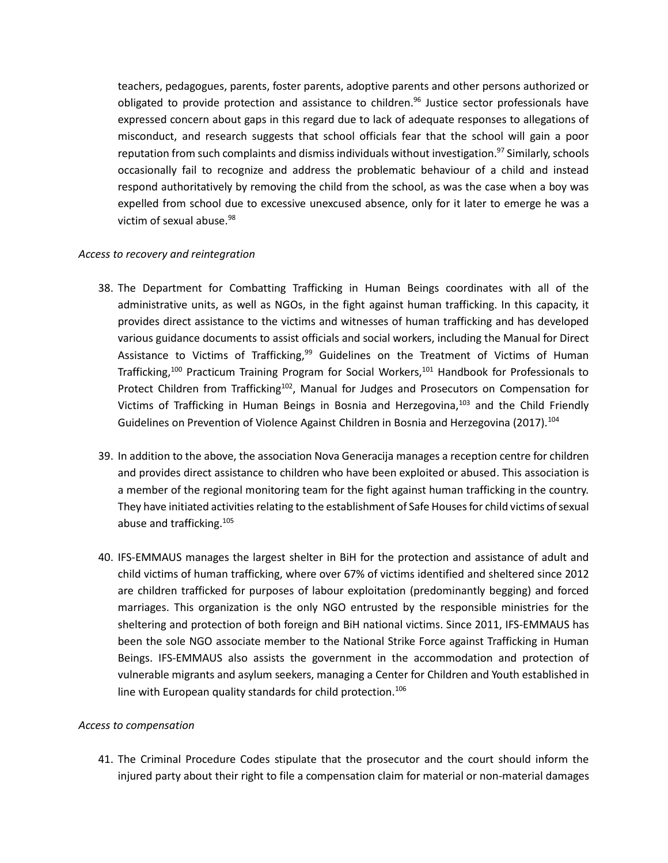teachers, pedagogues, parents, foster parents, adoptive parents and other persons authorized or obligated to provide protection and assistance to children. <sup>96</sup> Justice sector professionals have expressed concern about gaps in this regard due to lack of adequate responses to allegations of misconduct, and research suggests that school officials fear that the school will gain a poor reputation from such complaints and dismiss individuals without investigation.<sup>97</sup> Similarly, schools occasionally fail to recognize and address the problematic behaviour of a child and instead respond authoritatively by removing the child from the school, as was the case when a boy was expelled from school due to excessive unexcused absence, only for it later to emerge he was a victim of sexual abuse.<sup>98</sup>

### *Access to recovery and reintegration*

- 38. The Department for Combatting Trafficking in Human Beings coordinates with all of the administrative units, as well as NGOs, in the fight against human trafficking. In this capacity, it provides direct assistance to the victims and witnesses of human trafficking and has developed various guidance documents to assist officials and social workers, including the Manual for Direct Assistance to Victims of Trafficking,<sup>99</sup> Guidelines on the Treatment of Victims of Human Trafficking,<sup>100</sup> Practicum Training Program for Social Workers,<sup>101</sup> Handbook for Professionals to Protect Children from Trafficking<sup>102</sup>, Manual for Judges and Prosecutors on Compensation for Victims of Trafficking in Human Beings in Bosnia and Herzegovina,<sup>103</sup> and the Child Friendly Guidelines on Prevention of Violence Against Children in Bosnia and Herzegovina (2017).<sup>104</sup>
- 39. In addition to the above, the association Nova Generacija manages a reception centre for children and provides direct assistance to children who have been exploited or abused. This association is a member of the regional monitoring team for the fight against human trafficking in the country. They have initiated activities relating to the establishment of Safe Houses for child victims of sexual abuse and trafficking.<sup>105</sup>
- 40. IFS-EMMAUS manages the largest shelter in BiH for the protection and assistance of adult and child victims of human trafficking, where over 67% of victims identified and sheltered since 2012 are children trafficked for purposes of labour exploitation (predominantly begging) and forced marriages. This organization is the only NGO entrusted by the responsible ministries for the sheltering and protection of both foreign and BiH national victims. Since 2011, IFS-EMMAUS has been the sole NGO associate member to the National Strike Force against Trafficking in Human Beings. IFS-EMMAUS also assists the government in the accommodation and protection of vulnerable migrants and asylum seekers, managing a Center for Children and Youth established in line with European quality standards for child protection.<sup>106</sup>

#### *Access to compensation*

41. The Criminal Procedure Codes stipulate that the prosecutor and the court should inform the injured party about their right to file a compensation claim for material or non-material damages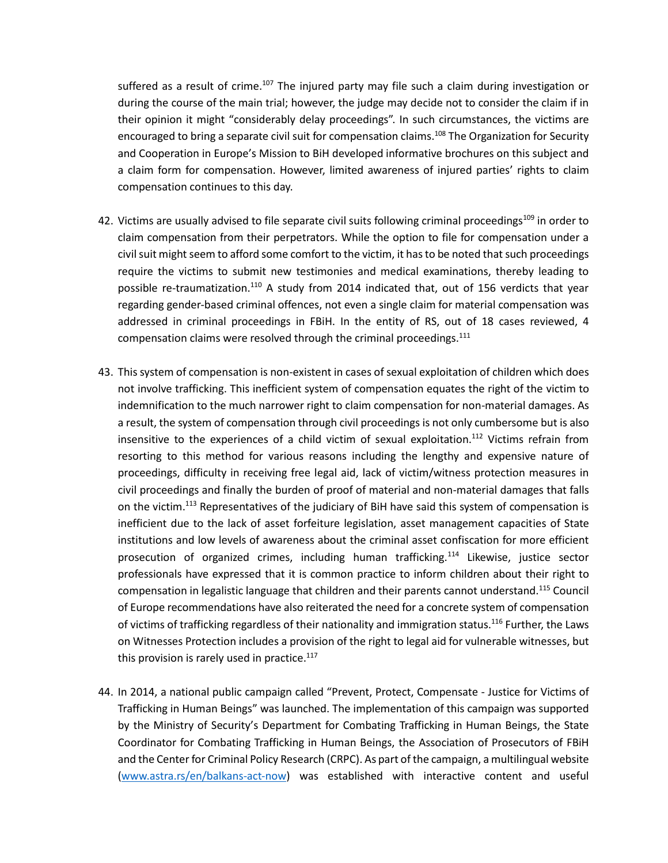suffered as a result of crime.<sup>107</sup> The injured party may file such a claim during investigation or during the course of the main trial; however, the judge may decide not to consider the claim if in their opinion it might "considerably delay proceedings". In such circumstances, the victims are encouraged to bring a separate civil suit for compensation claims.<sup>108</sup> The Organization for Security and Cooperation in Europe's Mission to BiH developed informative brochures on this subject and a claim form for compensation. However, limited awareness of injured parties' rights to claim compensation continues to this day.

- 42. Victims are usually advised to file separate civil suits following criminal proceedings<sup>109</sup> in order to claim compensation from their perpetrators. While the option to file for compensation under a civil suit might seem to afford some comfort to the victim, it has to be noted that such proceedings require the victims to submit new testimonies and medical examinations, thereby leading to possible re-traumatization.<sup>110</sup> A study from 2014 indicated that, out of 156 verdicts that year regarding gender-based criminal offences, not even a single claim for material compensation was addressed in criminal proceedings in FBiH. In the entity of RS, out of 18 cases reviewed, 4 compensation claims were resolved through the criminal proceedings.<sup>111</sup>
- 43. This system of compensation is non-existent in cases of sexual exploitation of children which does not involve trafficking. This inefficient system of compensation equates the right of the victim to indemnification to the much narrower right to claim compensation for non-material damages. As a result, the system of compensation through civil proceedings is not only cumbersome but is also insensitive to the experiences of a child victim of sexual exploitation.<sup>112</sup> Victims refrain from resorting to this method for various reasons including the lengthy and expensive nature of proceedings, difficulty in receiving free legal aid, lack of victim/witness protection measures in civil proceedings and finally the burden of proof of material and non-material damages that falls on the victim.<sup>113</sup> Representatives of the judiciary of BiH have said this system of compensation is inefficient due to the lack of asset forfeiture legislation, asset management capacities of State institutions and low levels of awareness about the criminal asset confiscation for more efficient prosecution of organized crimes, including human trafficking.<sup>114</sup> Likewise, justice sector professionals have expressed that it is common practice to inform children about their right to compensation in legalistic language that children and their parents cannot understand.<sup>115</sup> Council of Europe recommendations have also reiterated the need for a concrete system of compensation of victims of trafficking regardless of their nationality and immigration status.<sup>116</sup> Further, the Laws on Witnesses Protection includes a provision of the right to legal aid for vulnerable witnesses, but this provision is rarely used in practice. $117$
- 44. In 2014, a national public campaign called "Prevent, Protect, Compensate Justice for Victims of Trafficking in Human Beings" was launched. The implementation of this campaign was supported by the Ministry of Security's Department for Combating Trafficking in Human Beings, the State Coordinator for Combating Trafficking in Human Beings, the Association of Prosecutors of FBiH and the Center for Criminal Policy Research (CRPC). As part of the campaign, a multilingual website [\(www.astra.rs/en/balkans-act-now\)](http://www.astra.rs/en/balkans-act-now) was established with interactive content and useful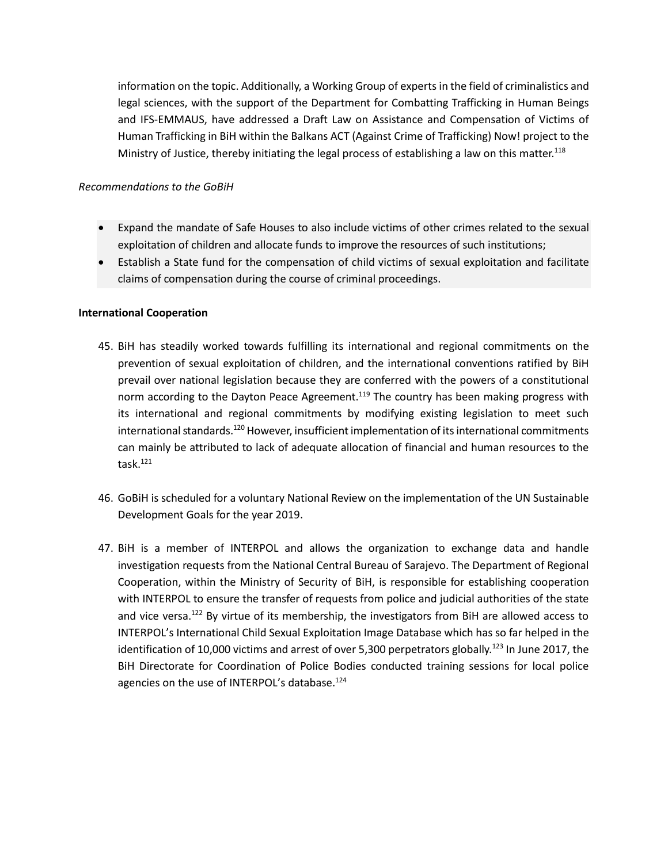information on the topic. Additionally, a Working Group of experts in the field of criminalistics and legal sciences, with the support of the Department for Combatting Trafficking in Human Beings and IFS-EMMAUS, have addressed a Draft Law on Assistance and Compensation of Victims of Human Trafficking in BiH within the Balkans ACT (Against Crime of Trafficking) Now! project to the Ministry of Justice, thereby initiating the legal process of establishing a law on this matter.<sup>118</sup>

### *Recommendations to the GoBiH*

- Expand the mandate of Safe Houses to also include victims of other crimes related to the sexual exploitation of children and allocate funds to improve the resources of such institutions;
- Establish a State fund for the compensation of child victims of sexual exploitation and facilitate claims of compensation during the course of criminal proceedings.

### **International Cooperation**

- 45. BiH has steadily worked towards fulfilling its international and regional commitments on the prevention of sexual exploitation of children, and the international conventions ratified by BiH prevail over national legislation because they are conferred with the powers of a constitutional norm according to the Dayton Peace Agreement.<sup>119</sup> The country has been making progress with its international and regional commitments by modifying existing legislation to meet such international standards.<sup>120</sup> However, insufficient implementation of its international commitments can mainly be attributed to lack of adequate allocation of financial and human resources to the task.<sup>121</sup>
- 46. GoBiH is scheduled for a voluntary National Review on the implementation of the UN Sustainable Development Goals for the year 2019.
- 47. BiH is a member of INTERPOL and allows the organization to exchange data and handle investigation requests from the National Central Bureau of Sarajevo. The Department of Regional Cooperation, within the Ministry of Security of BiH, is responsible for establishing cooperation with INTERPOL to ensure the transfer of requests from police and judicial authorities of the state and vice versa.<sup>122</sup> By virtue of its membership, the investigators from BiH are allowed access to INTERPOL's International Child Sexual Exploitation Image Database which has so far helped in the identification of 10,000 victims and arrest of over 5,300 perpetrators globally.<sup>123</sup> In June 2017, the BiH Directorate for Coordination of Police Bodies conducted training sessions for local police agencies on the use of INTERPOL's database.<sup>124</sup>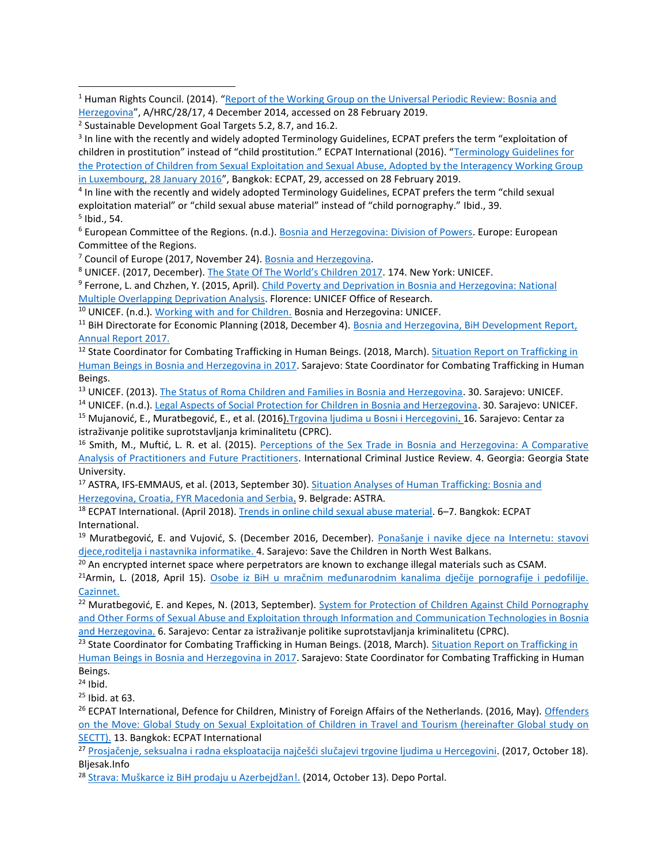<sup>1</sup> Human Rights Council. (2014). "Report of the Working Group on the Universal Periodic Review: Bosnia and [Herzegovina](https://documents-dds-ny.un.org/doc/UNDOC/GEN/G14/233/65/PDF/G1423365.pdf?OpenElement)", A/HRC/28/17, 4 December 2014, accessed on 28 February 2019.

<sup>3</sup> In line with the recently and widely adopted Terminology Guidelines, ECPAT prefers the term "exploitation of children in prostitution" instead of "child prostitution." ECPAT International (2016). "Terminology Guidelines for [the Protection of Children from Sexual Exploitation and Sexual Abuse, Adopted by the Interagency Working Group](http://luxembourgguidelines.org/english-version/)  [in Luxembourg, 28 January 2016](http://luxembourgguidelines.org/english-version/)", Bangkok: ECPAT, 29, accessed on 28 February 2019.

<sup>4</sup> In line with the recently and widely adopted Terminology Guidelines, ECPAT prefers the term "child sexual exploitation material" or "child sexual abuse material" instead of "child pornography." Ibid., 39. 5 Ibid., 54.

<sup>6</sup> European Committee of the Regions. (n.d.). [Bosnia and Herzegovina: Division of Powers.](https://portal.cor.europa.eu/divisionpowers/countries/Potential-Candidates/BAH/Pages/default.aspx) Europe: European Committee of the Regions.

<sup>7</sup> Council of Europe (2017, November 24). [Bosnia and Herzegovina.](https://www.coe.int/en/web/octopus/country-wiki/-/asset_publisher/hFPA5fbKjyCJ/content/bosnia-and-herzegovina/pop_up?inheritRedirect=false)

<sup>8</sup> UNICEF. (2017, December). [The State Of The World's Children 2017](https://data.unicef.org/wp-content/uploads/2018/03/SOWC-2017-statistical-tables.pdf). 174. New York: UNICEF.

<sup>9</sup> Ferrone, L. and Chzhen, Y. (2015, April). Child Poverty and Deprivation in Bosnia and Herzegovina: National [Multiple Overlapping Deprivation Analysis.](https://doi.org/10.18356/ae253274-en) Florence: UNICEF Office of Research.

<sup>10</sup> UNICEF. (n.d.). [Working with and for Children.](http://www.unicef.org/bih/UNICEF_Brosura_1web.pdf) Bosnia and Herzegovina: UNICEF.

<sup>11</sup> BiH Directorate for Economic Planning (2018, December 4). Bosnia and Herzegovina, BiH Development Report, [Annual Report 2017.](http://www.dep.gov.ba/razvojni_dokumenti/izvjestaji/?id=2036)

<sup>12</sup> State Coordinator for Combating Trafficking in Human Beings. (2018, March). Situation Report on Trafficking in [Human Beings in Bosnia and Herzegovina in 2017.](http://www.msb.gov.ba/PDF/izvjestaj_trgovina_ljudima_2017.pdf) Sarajevo: State Coordinator for Combating Trafficking in Human Beings.

<sup>13</sup> UNICEF. (2013). [The Status of Roma Children and Families in Bosnia and Herzegovina.](https://www.unicef.org/bih/en/reports/status-roma-children-and-families-bosnia-and-herzegovina) 30. Sarajevo: UNICEF.

<sup>14</sup> UNICEF. (n.d.). [Legal Aspects of Social Protection for Children in Bosnia and Herzegovina.](https://www.unicef.org/evaldatabase/files/BH_2003_Leg_Aspects_Social_Protection.pdf) 30. Sarajevo: UNICEF. <sup>15</sup> Mujanović, E., Muratbegović, E., et al. (2016). Trgovina ljudima u Bosni i Hercegovini. 16. Sarajevo: Centar za istraživanje politike suprotstavljanja kriminalitetu (CPRC).

<sup>16</sup> Smith, M., Muftić, L. R. et al. (2015). Perceptions of the Sex Trade in Bosnia and Herzegovina: A Comparative [Analysis of Practitioners and Future Practitioners.](http://citeseerx.ist.psu.edu/viewdoc/download?doi=10.1.1.873.2673&rep=rep1&type=pdf) International Criminal Justice Review. 4. Georgia: Georgia State University.

17 ASTRA, IFS-EMMAUS, et al. (2013, September 30). Situation Analyses of Human Trafficking: Bosnia and [Herzegovina, Croatia, FYR Macedonia and Serbia.](https://www.osce.org/odihr/106001?download=true) 9. Belgrade: ASTRA.

<sup>18</sup> ECPAT International. (April 2018). [Trends in online child sexual abuse material.](https://www.ecpat.org/wp-content/uploads/2018/07/ECPAT-International-Report-Trends-in-Online-Child-Sexual-Abuse-Material-2018.pdf) 6–7. Bangkok: ECPAT International.

<sup>19</sup> Muratbegović, E. and Vujović, S. (December 2016, December). Ponašanje i navike djece na Internetu: stavovi [djece,roditelja i nastavnika informatike.](https://nwb.savethechildren.net/sites/nwb.savethechildren.net/files/library/Izvjestaj-ponasanje-djece-na-internetu.pdf) 4. Sarajevo: Save the Children in North West Balkans.

 $20$  An encrypted internet space where perpetrators are known to exchange illegal materials such as CSAM.

<sup>21</sup>Armin, L. (2018, April 15). [Osobe iz BiH u mračnim međunarodnim kanalima dječije pornografije i pedofilije.](https://www.cazin.net/vijesti/osobe-iz-bih-u-mracnim-medunarodnim-kanalima-djecije-pornografije-i-pedofilije#sthash.UqhNcalk.oVNXBMIv.dpbs) Cazinnet.

<sup>22</sup> Muratbegović, E. and Kepes, N. (2013, September). System for Protection of Children Against Child Pornography [and Other Forms of Sexual Abuse and Exploitation through Information and](https://www.cprc.ba/en/biblioteka/EvaluationofActionPlanENG.pdf) Communication Technologies in Bosnia [and Herzegovina.](https://www.cprc.ba/en/biblioteka/EvaluationofActionPlanENG.pdf) 6. Sarajevo: Centar za istraživanje politike suprotstavljanja kriminalitetu (CPRC).

<sup>23</sup> State Coordinator for Combating Trafficking in Human Beings. (2018, March). Situation Report on Trafficking in [Human Beings in Bosnia and Herzegovina in 2017.](http://www.msb.gov.ba/PDF/izvjestaj_trgovina_ljudima_2017.pdf) Sarajevo: State Coordinator for Combating Trafficking in Human Beings.

 $24$  Ibid.

l

 $25$  Ibid. at 63.

<sup>26</sup> ECPAT International, Defence for Children, Ministry of Foreign Affairs of the Netherlands. (2016, May). Offenders [on the Move: Global Study on Sexual Exploitation of Children in Travel and Tourism \(hereinafter Global study on](http://globalstudysectt.org/global-report/)  [SECTT\).](http://globalstudysectt.org/global-report/) 13. Bangkok: ECPAT International

<sup>27</sup> [Prosjačenje, seksualna i radna eksploatacija najčešći slučajevi trgovine ljudima u Hercegovini](https://www.bljesak.info/vijesti/crna-kronika/prosjacenje-seksualna-i-radna-eksploatacija-najcesci-slucajevi-trgovine-ljudima-u-hercegovini/215848). (2017, October 18). Bljesak.Info

<sup>28</sup> [Strava: Muškarce iz BiH prodaju u Azerbejdžan](http://depo.ba/clanak/120092/strava-muskarce-iz-bih-prodaju-u-azerbejdzan)!. (2014, October 13). Depo Portal.

<sup>&</sup>lt;sup>2</sup> Sustainable Development Goal Targets 5.2, 8.7, and 16.2.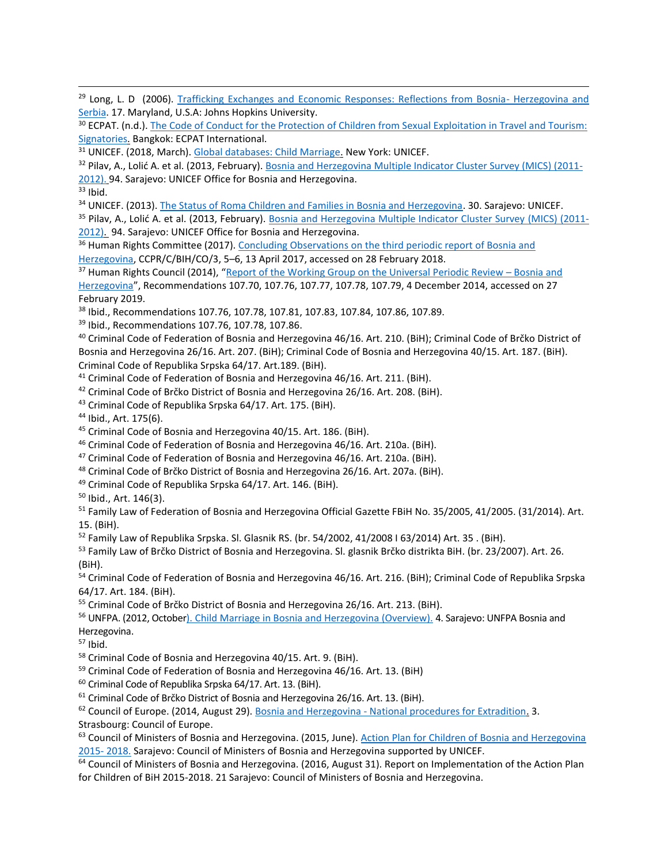<sup>29</sup> Long, L. D (2006). [Trafficking Exchanges and Economic Responses: Reflections from Bosnia-](http://lastradainternational.org/lsidocs/long_08_tra_eco_bosnia_serbia_0109.pdf) Herzegovina and [Serbia.](http://lastradainternational.org/lsidocs/long_08_tra_eco_bosnia_serbia_0109.pdf) 17. Maryland, U.S.A: Johns Hopkins University.

<sup>30</sup> ECPAT. (n.d.). The Code of Conduct for the Protection of Children from Sexual Exploitation in Travel and Tourism: [Signatories.](http://www.thecode.org/who-have-signed/signatories/) Bangkok: ECPAT International.

<sup>31</sup> UNICEF. (2018, March). [Global databases: Child Marriage.](https://data.unicef.org/topic/child-protection/child-marriage/) New York: UNICEF.

<sup>32</sup> Pilav, A., Lolić A. et al. (2013, February). [Bosnia and Herzegovina Multiple Indicator Cluster Survey \(MICS\) \(2011-](https://www.unicef.org/bih/media_21363.html) [2012\).](https://www.unicef.org/bih/media_21363.html) 94. Sarajevo: UNICEF Office for Bosnia and Herzegovina.

 $33$  Ibid.

l

<sup>34</sup> UNICEF. (2013). [The Status of Roma Children and Families in Bosnia and Herzegovina.](https://www.unicef.org/bih/en/reports/status-roma-children-and-families-bosnia-and-herzegovina) 30. Sarajevo: UNICEF.

<sup>35</sup> Pilav, A., Lolić A. et al. (2013, February). [Bosnia and Herzegovina Multiple Indicator Cluster Survey \(MICS\) \(2011-](https://www.unicef.org/bih/media_21363.html) [2012\).](https://www.unicef.org/bih/media_21363.html) 94. Sarajevo: UNICEF Office for Bosnia and Herzegovina.

<sup>36</sup> Human Rights Committee (2017). Concluding Observations on the third periodic report of Bosnia and [Herzegovina,](http://docstore.ohchr.org/SelfServices/FilesHandler.ashx?enc=6QkG1d%2fPPRiCAqhKb7yhsseOnooqYJDU6whjJc%2bd39B%2fCzMIjhVJM28sUAwEWUnFSCtazdpai%2fTIKEKEPJjdLso31R4hi8yd%2f6e1KhkbRjlgLLJYO1fza4FCxbnFuF%2bc) CCPR/C/BIH/CO/3, 5–6, 13 April 2017, accessed on 28 February 2018.

<sup>37</sup> Human Rights Council (2014), "[Report of the Working Group on the Universal Periodic Review](https://documents-dds-ny.un.org/doc/UNDOC/GEN/G14/233/65/PDF/G1423365.pdf?OpenElement.) – Bosnia and [Herzegovina](https://documents-dds-ny.un.org/doc/UNDOC/GEN/G14/233/65/PDF/G1423365.pdf?OpenElement.)", Recommendations 107.70, 107.76, 107.77, 107.78, 107.79, 4 December 2014, accessed on 27 February 2019.

<sup>38</sup> Ibid., Recommendations 107.76, 107.78, 107.81, 107.83, 107.84, 107.86, 107.89.

<sup>39</sup> Ibid., Recommendations 107.76, 107.78, 107.86.

<sup>40</sup> Criminal Code of Federation of Bosnia and Herzegovina 46/16. Art. 210. (BiH); Criminal Code of Brčko District of Bosnia and Herzegovina 26/16. Art. 207. (BiH); Criminal Code of Bosnia and Herzegovina 40/15. Art. 187. (BiH). Criminal Code of Republika Srpska 64/17. Art.189. (BiH).

<sup>41</sup> Criminal Code of Federation of Bosnia and Herzegovina 46/16. Art. 211. (BiH).

<sup>42</sup> Criminal Code of Brčko District of Bosnia and Herzegovina 26/16. Art. 208. (BiH).

<sup>43</sup> Criminal Code of Republika Srpska 64/17. Art. 175. (BiH).

<sup>44</sup> Ibid., Art. 175(6).

<sup>45</sup> Criminal Code of Bosnia and Herzegovina 40/15. Art. 186. (BiH).

<sup>46</sup> Criminal Code of Federation of Bosnia and Herzegovina 46/16. Art. 210a. (BiH).

<sup>47</sup> Criminal Code of Federation of Bosnia and Herzegovina 46/16. Art. 210a. (BiH).

<sup>48</sup> Criminal Code of Brčko District of Bosnia and Herzegovina 26/16. Art. 207a. (BiH).

<sup>49</sup> Criminal Code of Republika Srpska 64/17. Art. 146. (BiH).

<sup>50</sup> Ibid., Art. 146(3).

<sup>51</sup> Family Law of Federation of Bosnia and Herzegovina Official Gazette FBiH No. 35/2005, 41/2005. (31/2014). Art. 15. (BiH).

 $52$  Family Law of Republika Srpska. Sl. Glasnik RS. (br. 54/2002, 41/2008 I 63/2014) Art. 35 . (BiH).

<sup>53</sup> Family Law of Brčko District of Bosnia and Herzegovina. Sl. glasnik Brčko distrikta BiH. (br. 23/2007). Art. 26. (BiH).

<sup>54</sup> Criminal Code of Federation of Bosnia and Herzegovina 46/16. Art. 216. (BiH); Criminal Code of Republika Srpska 64/17. Art. 184. (BiH).

<sup>55</sup> Criminal Code of Brčko District of Bosnia and Herzegovina 26/16. Art. 213. (BiH).

<sup>56</sup> UNFPA. (2012, October). [Child Marriage in Bosnia and Herzegovina \(Overview\).](https://eeca.unfpa.org/sites/default/files/pub-pdf/unfpa%20bosnia%20overview.pdf) 4. Sarajevo: UNFPA Bosnia and Herzegovina.

 $57$  Ibid.

<sup>58</sup> Criminal Code of Bosnia and Herzegovina 40/15. Art. 9. (BiH).

<sup>59</sup> Criminal Code of Federation of Bosnia and Herzegovina 46/16. Art. 13. (BiH)

<sup>60</sup> Criminal Code of Republika Srpska 64/17. Art. 13. (BiH).

<sup>61</sup> Criminal Code of Brčko District of Bosnia and Herzegovina 26/16. Art. 13. (BiH).

<sup>62</sup> Council of Europe. (2014, August 29). Bosnia and Herzegovina - [National procedures for Extradition.](https://rm.coe.int/CoERMPublicCommonSearchServices/DisplayDCTMContent?documentId=0900001680094f0c) 3.

Strasbourg: Council of Europe.

63 Council of Ministers of Bosnia and Herzegovina. (2015, June). Action Plan for Children of Bosnia and Herzegovina [2015-](https://www.unicef.org/bih/akcijski_plan_za_djecu_EN-web.pdf) 2018. Sarajevo: Council of Ministers of Bosnia and Herzegovina supported by UNICEF.

<sup>64</sup> Council of Ministers of Bosnia and Herzegovina. (2016, August 31). Report on Implementation of the Action Plan for Children of BiH 2015-2018. 21 Sarajevo: Council of Ministers of Bosnia and Herzegovina.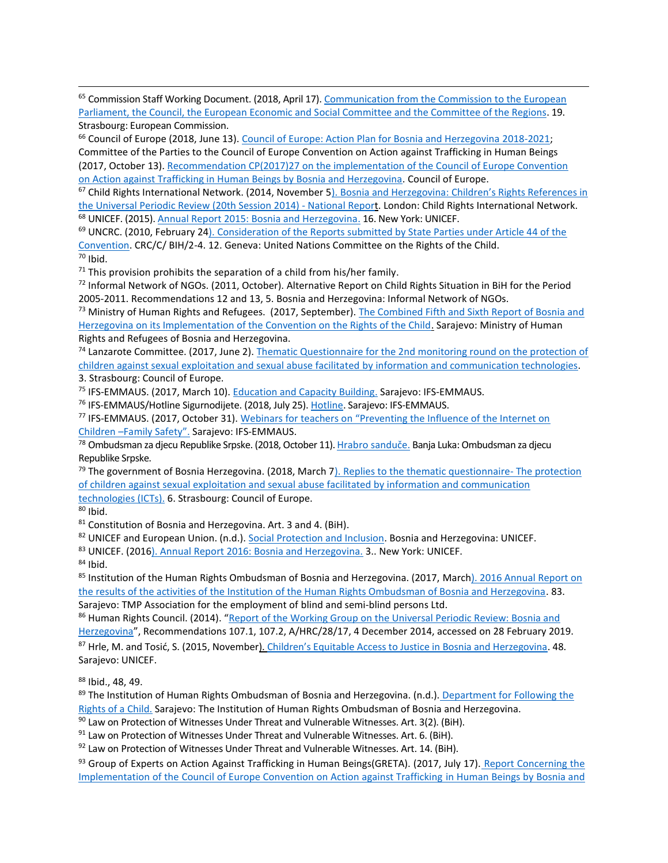<sup>65</sup> Commission Staff Working Document. (2018, April 17). Communication from the Commission to the European [Parliament, the Council, the European Economic and Social Committee and the Committee of the Regions.](https://ec.europa.eu/neighbourhood-enlargement/sites/near/files/20180417-bosnia-and-herzegovina-report.pdf) 19. Strasbourg: European Commission.

<sup>66</sup> Council of Europe (2018, June 13). [Council of Europe: Action Plan for Bosnia and Herzegovina](https://rm.coe.int/bih-action-plan-2018-2021-en/16808b7563) 2018-2021; Committee of the Parties to the Council of Europe Convention on Action against Trafficking in Human Beings (2017, October 13)[. Recommendation CP\(2017\)27 on the implementation of the Council of Europe Convention](https://rm.coe.int/cp-2017-27-bih-en/168075e9cc) [on Action against Trafficking in Human Beings by Bosnia and Herzegovina.](https://rm.coe.int/cp-2017-27-bih-en/168075e9cc) Council of Europe.

<sup>67</sup> Child Rights International Network. (2014, November [5\).](https://www.crin.org/en/library/publications/bosnia-and-herzegovina-childrens-rights-references-universal-periodic-review) Bosnia and Herzegovina: Children's Rights References in the Universal Periodic Review (20th Session 2014) - National Report. London: Child Rights International Network. <sup>68</sup> UNICEF. (2015)[. Annual Report 2015: Bosnia and Herzegovina.](https://www.unicef.org/about/annualreport/files/Bosnia_and_Herzegovina_2015_COAR.pdf) 16. New York: UNICEF.

<sup>69</sup> UNCRC. (2010, February 24). Consideration of the Reports submitted by State Parties under Article 44 of the [Convention.](https://tbinternet.ohchr.org/_layouts/treatybodyexternal/Download.aspx?symbolno=CRC/C/BIH/CO/2-4&Lang=En) CRC/C/ BIH/2-4. 12. Geneva: United Nations Committee on the Rights of the Child. <sup>70</sup> Ibid.

 $71$  This provision prohibits the separation of a child from his/her family.

 $72$  Informal Network of NGOs. (2011, October). Alternative Report on Child Rights Situation in BiH for the Period 2005-2011. Recommendations 12 and 13, 5. Bosnia and Herzegovina: Informal Network of NGOs.

<sup>73</sup> Ministry of Human Rights and Refugees. (2017, September). The Combined Fifth and Sixth Report of Bosnia and [Herzegovina on its Implementation of the Convention on the Rights of the Child.](http://www.mhrr.gov.ba/ljudska_prava/djeca_bih/E%20Kombinovani%20V%20i%20VI%20periodicni%20izvjestaj%20BiH.pdf) Sarajevo: Ministry of Human Rights and Refugees of Bosnia and Herzegovina.

<sup>74</sup> Lanzarote Committee. (2017, June 2). [Thematic Questionnaire for the 2n](https://rm.coe.int/thematic-questionnaire-for-the-2nd-monitoring-round-on-the-protection-/168075f307)d monitoring round on the protection of children against sexual exploitation and sexual abuse facilitated by information and communication technologies. 3. Strasbourg: Council of Europe.

<sup>75</sup> IFS-EMMAUS. (2017, March 10). [Education and Capacity Building.](http://en.mfs-emmaus.ba/education-and-capacity-building-2/) Sarajevo: IFS-EMMAUS.

<sup>76</sup> IFS-EMMAUS/Hotline Sigurnodijete. (2018, July 25). [Hotline.](http://sigurnodijete.ba/en/vijesti-2/projekat) Sarajevo: IFS-EMMAUS.

<sup>77</sup> IFS-EMMAUS. (2017, October 31). [Webinars for teachers on "Preventing the Influence of the Internet on](http://en.mfs-emmaus.ba/webinars-for-teachers-on-preventing-the-influence-of-the-internet-on-children-family-safety/)  Children [–Family Safety"](http://en.mfs-emmaus.ba/webinars-for-teachers-on-preventing-the-influence-of-the-internet-on-children-family-safety/). Sarajevo: IFS-EMMAUS.

<sup>78</sup> Ombudsman za djecu Republike Srpske. (2018, October 11). [Hrabro sanduče](http://www.djecanainternetu.org/). Banja Luka: Ombudsman za djecu Republike Srpske.

 $79$  The government of Bosnia Herzegovina. (2018, March 7). [Replies to the thematic questionnaire-](https://rm.coe.int/replies-to-the-thematic-questionnaire-bosnia-and-herzegovina-2nd-thema/1680791682) The protection [of children against sexual exploitation and sexual abuse facilitated by information and communication](https://rm.coe.int/replies-to-the-thematic-questionnaire-bosnia-and-herzegovina-2nd-thema/1680791682)  [technologies \(ICTs\).](https://rm.coe.int/replies-to-the-thematic-questionnaire-bosnia-and-herzegovina-2nd-thema/1680791682) 6. Strasbourg: Council of Europe.

 $80$  Ibid.

l

<sup>81</sup> Constitution of Bosnia and Herzegovina. Art. 3 and 4. (BiH).

82 UNICEF and European Union. (n.d.). [Social Protection and Inclusion.](https://www.unicef.org/bih/protection_inclusion_18304.html) Bosnia and Herzegovina: UNICEF.

83 UNICEF. (2016). [Annual Report 2016: Bosnia and Herzegovina.](https://www.unicef.org/about/annualreport/files/Bosnia_and__Herzegovina_2016_COAR.pdf) 3.. New York: UNICEF.

 $84$  Ibid.

85 Institution of the Human Rights Ombudsman of Bosnia and Herzegovina. (2017, March). 2016 Annual Report on [the results of the activities of the Institution of the Human Rights Ombudsman of Bosnia and Herzegovina.](https://www.legislationline.org/documents/id/20833) 83. Sarajevo: TMP Association for the employment of blind and semi-blind persons Ltd.

86 Human Rights Council. (2014). "Report of the Working Group on the Universal Periodic Review: Bosnia and [Herzegovina](https://documents-dds-ny.un.org/doc/UNDOC/GEN/G14/233/65/PDF/G1423365.pdf?OpenElement)", Recommendations 107.1, 107.2, A/HRC/28/17, 4 December 2014, accessed on 28 February 2019.

87 Hrle, M. and Tosić, S. (2015, November[\).](https://www.unicef.org/bih/equitable_access_to_justice_EN-web1.pdf) [Children's Equitable Access to Justice in Bosnia and Herzegovina](https://www.unicef.org/bih/equitable_access_to_justice_EN-web1.pdf). 48. Sarajevo: UNICEF.

<sup>88</sup> Ibid., 48, 49.

<sup>89</sup> The Institution of Human Rights Ombudsman of Bosnia and Herzegovina. (n.d.). Department for Following the [Rights of a Child.](http://www.ombudsmen.gov.ba/Default.aspx?id=3&lang=EN) Sarajevo: The Institution of Human Rights Ombudsman of Bosnia and Herzegovina.

90 Law on Protection of Witnesses Under Threat and Vulnerable Witnesses. Art. 3(2). (BiH).

 $91$  Law on Protection of Witnesses Under Threat and Vulnerable Witnesses. Art. 6. (BiH).

 $92$  Law on Protection of Witnesses Under Threat and Vulnerable Witnesses. Art. 14. (BiH).

93 Group of Experts on Action Against Trafficking in Human Beings(GRETA). (2017, July 17). Report Concerning the [Implementation of the Council of Europe Convention on Action against Trafficking in Human Beings by Bosnia and](https://rm.coe.int/greta-2017-15-fgr-bih-en/1680782ac1)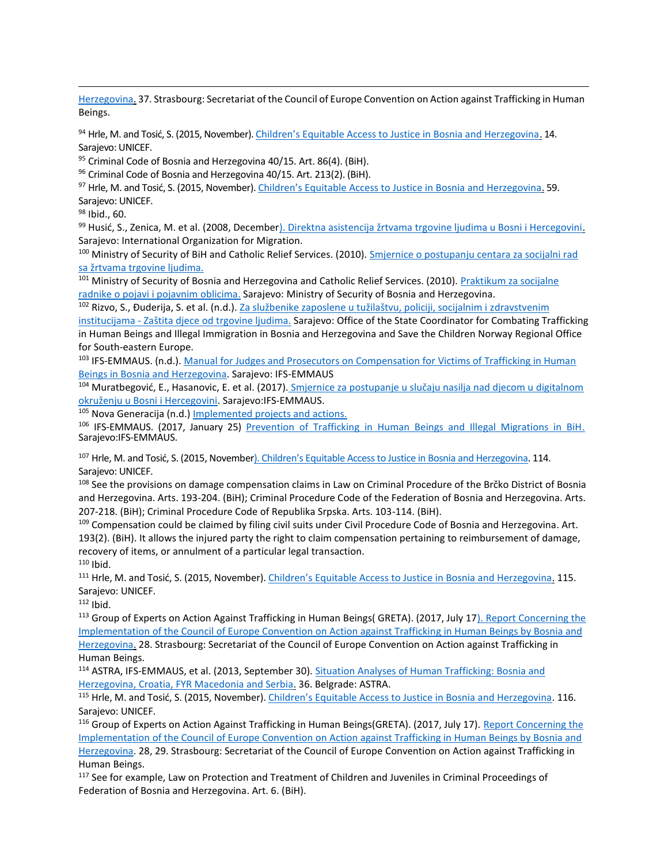[Herzegovina.](https://rm.coe.int/greta-2017-15-fgr-bih-en/1680782ac1) 37. Strasbourg: Secretariat of the Council of Europe Convention on Action against Trafficking in Human Beings.

94 Hrle, M. and Tosić, S. (2015, November)[. Children's Equitable Access to Justice in Bosnia and Herzegovina](https://www.unicef.org/bih/equitable_access_to_justice_EN-web1.pdf), 14. Sarajevo: UNICEF.

 $95$  Criminal Code of Bosnia and Herzegovina 40/15. Art. 86(4). (BiH).

96 Criminal Code of Bosnia and Herzegovina 40/15. Art. 213(2). (BiH).

97 Hrle, M. and Tosić, S. (2015, November). [Children's Equitable Access to Justice in Bosnia and Herzegovina](https://www.unicef.org/bih/equitable_access_to_justice_EN-web1.pdf). 59. Sarajevo: UNICEF.

<sup>98</sup> Ibid., 60.

l

99 Husić, S., Zenica, M. et al. (2008, December). [Direktna asistencija žrtvama trgovine ljudima u Bosni i Hercegovini](http://www.msb.gov.ba/anti_trafficking/dokumenti/prirucnici/?id=5315). Sarajevo: International Organization for Migration.

<sup>100</sup> Ministry of Security of BiH and Catholic Relief Services. (2010). [Smjernice o postupanju centara za socijalni rad](http://www.msb.gov.ba/anti_trafficking/dokumenti/prirucnici/?id=5318) [sa žrtvama trgovine ljudima.](http://www.msb.gov.ba/anti_trafficking/dokumenti/prirucnici/?id=5318)

101 Ministry of Security of Bosnia and Herzegovina and Catholic Relief Services. (2010). Praktikum za socijalne [radnike o pojavi i pojavnim oblicima.](http://www.msb.gov.ba/anti_trafficking/dokumenti/prirucnici/?id=6071) Sarajevo: Ministry of Security of Bosnia and Herzegovina.

<sup>102</sup> Rizvo, S., Đuderija, S. et al. (n.d.). [Za službenike zaposlene u tužilaštvu, policiji, socijalnim i z](http://www.msb.gov.ba/anti_trafficking/dokumenti/prirucnici/?id=3919)dravstvenim

institucijama - Zaštita djece [od trgovine ljudima.](http://www.msb.gov.ba/anti_trafficking/dokumenti/prirucnici/?id=3919) Sarajevo: Office of the State Coordinator for Combating Trafficking in Human Beings and Illegal Immigration in Bosnia and Herzegovina and Save the Children Norway Regional Office for South-eastern Europe.

103 IFS-EMMAUS. (n.d.). Manual for Judges and Prosecutors on Compensation for Victims of Trafficking in Human [Beings in Bosnia and H](http://www.eurcenter.net/images/PDF/Handbook%20for%20Judges%20and%20Prosecutors_Compensation_eng_Final%20Knjizni%20Blok.pdf)erzegovina. Sarajevo: IFS-EMMAUS

<sup>104</sup> Muratbegović, E., Hasanovic, E. et al. (2017). [Smjernice za postupanje u slučaju nasilja nad djecom u digitalnom](http://www.sigurnodijete.ba/images/pdf/Smjernice%20za%20postupanje%20u%20sluaju%20nasilja%20nad%20djecom%20u%20digitalnom%20okruenju%20u%20BiH.pdf)  [okruženju u Bosni i Hercegovini](http://www.sigurnodijete.ba/images/pdf/Smjernice%20za%20postupanje%20u%20sluaju%20nasilja%20nad%20djecom%20u%20digitalnom%20okruenju%20u%20BiH.pdf). Sarajevo:IFS-EMMAUS.

<sup>105</sup> Nova Generacija (n.d.) [Implemented projects and actions.](http://www.novageneracija.org/en/implemented_projects_and_actions.php)

<sup>106</sup> IFS-EMMAUS. (2017, January 25) [Prevention of Trafficking in Human Beings and Illegal Migrations in BiH.](http://en.mfs-emmaus.ba/prevention-of-trafficking-in-human-beings-and-illegal-migrations-in-bih/) Sarajevo:IFS-EMMAUS.

<sup>107</sup> Hrle, M. and Tosić, S. (2015, Novembe[r\). Children's Equitable Access to Justice in Bosnia and Herzegovina](https://www.unicef.org/bih/equitable_access_to_justice_EN-web1.pdf). 114. Sarajevo: UNICEF.

<sup>108</sup> See the provisions on damage compensation claims in Law on Criminal Procedure of the Brčko District of Bosnia and Herzegovina. Arts. 193-204. (BiH); Criminal Procedure Code of the Federation of Bosnia and Herzegovina. Arts. 207-218. (BiH); Criminal Procedure Code of Republika Srpska. Arts. 103-114. (BiH).

109 Compensation could be claimed by filing civil suits under Civil Procedure Code of Bosnia and Herzegovina. Art. 193(2). (BiH). It allows the injured party the right to claim compensation pertaining to reimbursement of damage, recovery of items, or annulment of a particular legal transaction.  $110$  Ibid.

111 Hrle, M. and Tosić, S. (2015, November). [Children's Equitable Access to Justice in Bosnia and Herzegovina](https://www.unicef.org/bih/equitable_access_to_justice_EN-web1.pdf). 115. Sarajevo: UNICEF.

 $112$  Ibid.

113 Group of Experts on Action Against Trafficking in Human Beings( GRETA). (2017, July 17). Report Concerning the [Implementation o](https://rm.coe.int/greta-2017-15-fgr-bih-en/1680782ac1/)f the Council of Europe Convention on Action against Trafficking in Human Beings by Bosnia and Herzegovina. 28. Strasbourg: Secretariat of the Council of Europe Convention on Action against Trafficking in Human Beings.

114 ASTRA, IFS-EMMAUS, et al. (2013, September 30). Situation Analyses of Human Trafficking: Bosnia and [Herzegovina, Croatia, FYR Macedonia and Serbia.](https://www.osce.org/odihr/106001?download=true) 36. Belgrade: ASTRA.

115 Hrle, M. and Tosić, S. (2015, November). [Children's Equitable Access to Justice in Bosnia and Herzegovina](https://www.unicef.org/bih/equitable_access_to_justice_EN-web1.pdf). 116. Sarajevo: UNICEF.

116 Group of Experts on Action Against Trafficking in Human Beings(GRETA). (2017, July 17). Report Concerning the [Implementation of the Council of Europe Convention on Action against Trafficking in Human Beings by Bosnia and](https://rm.coe.int/greta-2017-15-fgr-bih-en/1680782ac1)  [Herzegovina.](https://rm.coe.int/greta-2017-15-fgr-bih-en/1680782ac1) 28, 29. Strasbourg: Secretariat of the Council of Europe Convention on Action against Trafficking in Human Beings.

<sup>117</sup> See for example, Law on Protection and Treatment of Children and Juveniles in Criminal Proceedings of Federation of Bosnia and Herzegovina. Art. 6. (BiH).